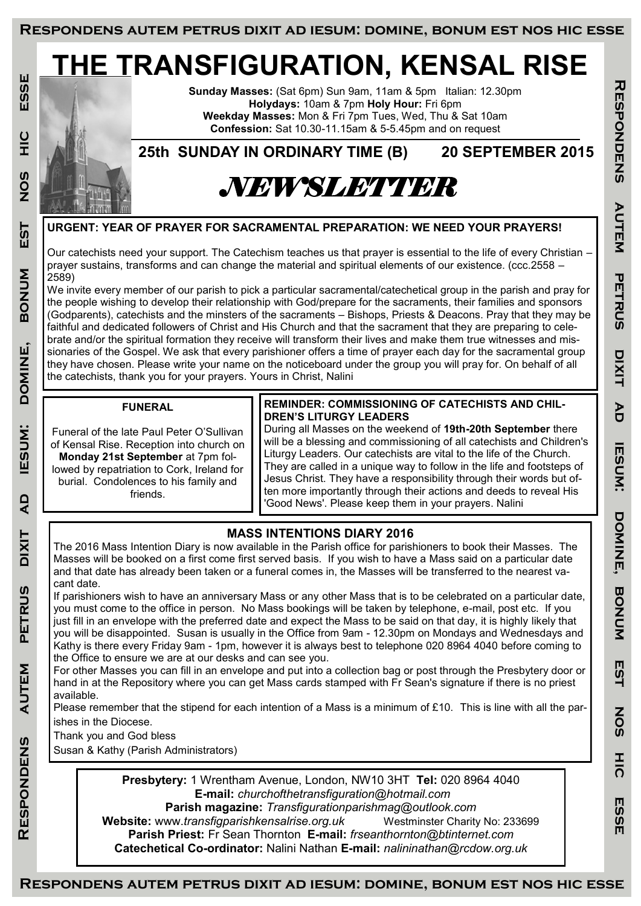# **THE TRANSFIGURATION, KENSAL RISE**



**Sunday Masses:** (Sat 6pm) Sun 9am, 11am & 5pm Italian: 12.30pm **Holydays:** 10am & 7pm **Holy Hour:** Fri 6pm **Weekday Masses:** Mon & Fri 7pm Tues, Wed, Thu & Sat 10am **Confession:** Sat 10.30-11.15am & 5-5.45pm and on request

**25th SUNDAY IN ORDINARY TIME (B) 20 SEPTEMBER 2015**

## *NEWSLETTER*

**URGENT: YEAR OF PRAYER FOR SACRAMENTAL PREPARATION: WE NEED YOUR PRAYERS!**

Our catechists need your support. The Catechism teaches us that prayer is essential to the life of every Christian – prayer sustains, transforms and can change the material and spiritual elements of our existence. (ccc.2558 – 2589)

We invite every member of our parish to pick a particular sacramental/catechetical group in the parish and pray for the people wishing to develop their relationship with God/prepare for the sacraments, their families and sponsors (Godparents), catechists and the minsters of the sacraments – Bishops, Priests & Deacons. Pray that they may be faithful and dedicated followers of Christ and His Church and that the sacrament that they are preparing to celebrate and/or the spiritual formation they receive will transform their lives and make them true witnesses and missionaries of the Gospel. We ask that every parishioner offers a time of prayer each day for the sacramental group they have chosen. Please write your name on the noticeboard under the group you will pray for. On behalf of all the catechists, thank you for your prayers. Yours in Christ, Nalini

#### **FUNERAL**

Funeral of the late Paul Peter O'Sullivan of Kensal Rise. Reception into church on **Monday 21st September** at 7pm followed by repatriation to Cork, Ireland for burial. Condolences to his family and friends.

#### **REMINDER: COMMISSIONING OF CATECHISTS AND CHIL-DREN'S LITURGY LEADERS**

During all Masses on the weekend of **19th-20th September** there will be a blessing and commissioning of all catechists and Children's Liturgy Leaders. Our catechists are vital to the life of the Church. They are called in a unique way to follow in the life and footsteps of Jesus Christ. They have a responsibility through their words but often more importantly through their actions and deeds to reveal His 'Good News'. Please keep them in your prayers. Nalini

### **MASS INTENTIONS DIARY 2016**

The 2016 Mass Intention Diary is now available in the Parish office for parishioners to book their Masses. The Masses will be booked on a first come first served basis. If you wish to have a Mass said on a particular date and that date has already been taken or a funeral comes in, the Masses will be transferred to the nearest vacant date.

If parishioners wish to have an anniversary Mass or any other Mass that is to be celebrated on a particular date, you must come to the office in person. No Mass bookings will be taken by telephone, e-mail, post etc. If you just fill in an envelope with the preferred date and expect the Mass to be said on that day, it is highly likely that you will be disappointed. Susan is usually in the Office from 9am - 12.30pm on Mondays and Wednesdays and Kathy is there every Friday 9am - 1pm, however it is always best to telephone 020 8964 4040 before coming to the Office to ensure we are at our desks and can see you.

For other Masses you can fill in an envelope and put into a collection bag or post through the Presbytery door or hand in at the Repository where you can get Mass cards stamped with Fr Sean's signature if there is no priest available.

Please remember that the stipend for each intention of a Mass is a minimum of £10. This is line with all the parishes in the Diocese.

Thank you and God bless

Susan & Kathy (Parish Administrators)

**Presbytery:** 1 Wrentham Avenue, London, NW10 3HT **Tel:** 020 8964 4040 **E-mail:** *churchofthetransfiguration@hotmail.com* 

**Parish magazine:** *Transfigurationparishmag@outlook.com*  **Website:** www.*transfigparishkensalrise.org.uk* Westminster Charity No: 233699 **Parish Priest:** Fr Sean Thornton **E-mail:** *frseanthornton@btinternet.com*  **Catechetical Co-ordinator:** Nalini Nathan **E-mail:** *nalininathan@rcdow.org.uk*